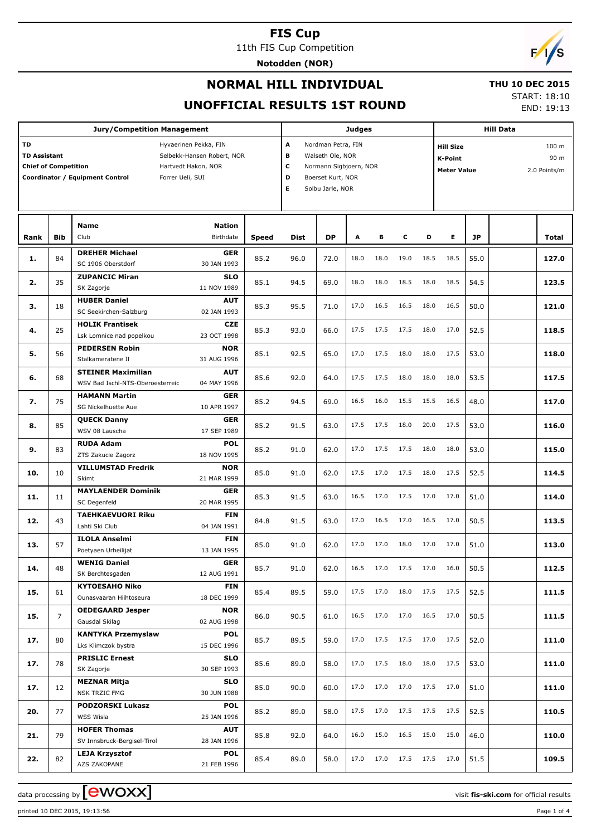11th FIS Cup Competition **Notodden (NOR)**



## **NORMAL HILL INDIVIDUAL**

#### **THU 10 DEC 2015**

**UNOFFICIAL RESULTS 1ST ROUND**

START: 18:10 END: 19:13

|           |                                                                                                                                                                                                                         | <b>Jury/Competition Management</b>                       |                           | <b>Judges</b> |                                                                                                                                    |           |      |           |           | <b>Hill Data</b> |                                                          |      |                                          |       |
|-----------|-------------------------------------------------------------------------------------------------------------------------------------------------------------------------------------------------------------------------|----------------------------------------------------------|---------------------------|---------------|------------------------------------------------------------------------------------------------------------------------------------|-----------|------|-----------|-----------|------------------|----------------------------------------------------------|------|------------------------------------------|-------|
| <b>TD</b> | Hyvaerinen Pekka, FIN<br><b>TD Assistant</b><br>Selbekk-Hansen Robert, NOR<br><b>Chief of Competition</b><br>Hartvedt Hakon, NOR<br>Coordinator / Equipment Control<br>Forrer Ueli, SUI<br><b>Name</b><br><b>Nation</b> |                                                          |                           |               | A<br>Nordman Petra, FIN<br>в<br>Walseth Ole, NOR<br>c<br>Normann Sigbjoern, NOR<br>D<br>Boerset Kurt, NOR<br>Е<br>Solbu Jarle, NOR |           |      |           |           |                  | <b>Hill Size</b><br><b>K-Point</b><br><b>Meter Value</b> |      | 100 <sub>m</sub><br>90 m<br>2.0 Points/m |       |
|           |                                                                                                                                                                                                                         |                                                          |                           |               |                                                                                                                                    |           |      |           |           |                  |                                                          |      |                                          |       |
| Rank      | <b>Bib</b>                                                                                                                                                                                                              | Club                                                     | Birthdate                 | <b>Speed</b>  | Dist                                                                                                                               | <b>DP</b> | А    | в         | c         | D                | E.                                                       | JP   |                                          | Total |
| 1.        | 84                                                                                                                                                                                                                      | <b>DREHER Michael</b><br>SC 1906 Oberstdorf              | <b>GER</b><br>30 JAN 1993 | 85.2          | 96.0                                                                                                                               | 72.0      | 18.0 | 18.0      | 19.0      | 18.5             | 18.5                                                     | 55.0 |                                          | 127.0 |
| 2.        | 35                                                                                                                                                                                                                      | <b>ZUPANCIC Miran</b><br>SK Zagorje                      | <b>SLO</b><br>11 NOV 1989 | 85.1          | 94.5                                                                                                                               | 69.0      | 18.0 | 18.0      | 18.5      | 18.0             | 18.5                                                     | 54.5 |                                          | 123.5 |
| з.        | 18                                                                                                                                                                                                                      | <b>HUBER Daniel</b>                                      | <b>AUT</b>                | 85.3          | 95.5                                                                                                                               | 71.0      | 17.0 | 16.5      | 16.5      | 18.0             | 16.5                                                     | 50.0 |                                          | 121.0 |
|           |                                                                                                                                                                                                                         | SC Seekirchen-Salzburg<br><b>HOLIK Frantisek</b>         | 02 JAN 1993<br><b>CZE</b> |               |                                                                                                                                    |           |      |           |           |                  |                                                          |      |                                          |       |
| 4.        | 25                                                                                                                                                                                                                      | Lsk Lomnice nad popelkou                                 | 23 OCT 1998               | 85.3          | 93.0                                                                                                                               | 66.0      | 17.5 | 17.5      | 17.5      | 18.0             | 17.0                                                     | 52.5 |                                          | 118.5 |
| 5.        | 56                                                                                                                                                                                                                      | <b>PEDERSEN Robin</b><br>Stalkameratene Il               | <b>NOR</b><br>31 AUG 1996 | 85.1          | 92.5                                                                                                                               | 65.0      | 17.0 | 17.5      | 18.0      | 18.0             | 17.5                                                     | 53.0 |                                          | 118.0 |
| 6.        | 68                                                                                                                                                                                                                      | <b>STEINER Maximilian</b>                                | <b>AUT</b>                | 85.6          | 92.0                                                                                                                               | 64.0      | 17.5 | 17.5      | 18.0      | 18.0             | 18.0                                                     | 53.5 |                                          | 117.5 |
| 7.        | 75                                                                                                                                                                                                                      | WSV Bad Ischl-NTS-Oberoesterreic<br><b>HAMANN Martin</b> | 04 MAY 1996<br><b>GER</b> | 85.2          | 94.5                                                                                                                               | 69.0      | 16.5 | 16.0      | 15.5      | 15.5             | 16.5                                                     | 48.0 |                                          | 117.0 |
|           |                                                                                                                                                                                                                         | SG Nickelhuette Aue<br><b>QUECK Danny</b>                | 10 APR 1997<br><b>GER</b> |               |                                                                                                                                    |           |      | 17.5      |           |                  | 17.5                                                     |      |                                          |       |
| 8.        | 85                                                                                                                                                                                                                      | WSV 08 Lauscha                                           | 17 SEP 1989               | 85.2          | 91.5                                                                                                                               | 63.0      | 17.5 |           | 18.0      | 20.0             |                                                          | 53.0 |                                          | 116.0 |
| 9.        | 83                                                                                                                                                                                                                      | <b>RUDA Adam</b><br>ZTS Zakucie Zagorz                   | <b>POL</b><br>18 NOV 1995 | 85.2          | 91.0                                                                                                                               | 62.0      | 17.0 | 17.5      | 17.5      | 18.0             | 18.0                                                     | 53.0 |                                          | 115.0 |
| 10.       | 10                                                                                                                                                                                                                      | <b>VILLUMSTAD Fredrik</b><br>Skimt                       | <b>NOR</b><br>21 MAR 1999 | 85.0          | 91.0                                                                                                                               | 62.0      | 17.5 | 17.0      | 17.5      | 18.0             | 17.5                                                     | 52.5 |                                          | 114.5 |
| 11.       | 11                                                                                                                                                                                                                      | <b>MAYLAENDER Dominik</b><br>SC Degenfeld                | <b>GER</b><br>20 MAR 1995 | 85.3          | 91.5                                                                                                                               | 63.0      | 16.5 | 17.0      | 17.5      | 17.0             | 17.0                                                     | 51.0 |                                          | 114.0 |
| 12.       | 43                                                                                                                                                                                                                      | <b>TAEHKAEVUORI Riku</b>                                 | <b>FIN</b>                | 84.8          | 91.5                                                                                                                               | 63.0      | 17.0 | 16.5      | 17.0      | 16.5             | 17.0                                                     | 50.5 |                                          | 113.5 |
|           |                                                                                                                                                                                                                         | Lahti Ski Club<br><b>ILOLA Anselmi</b>                   | 04 JAN 1991<br><b>FIN</b> |               |                                                                                                                                    |           |      |           |           |                  |                                                          |      |                                          |       |
| 13.       | 57                                                                                                                                                                                                                      | Poetyaen Urheilijat                                      | 13 JAN 1995               | 85.0          | 91.0                                                                                                                               | 62.0      | 17.0 | 17.0      | 18.0      | 17.0             | 17.0                                                     | 51.0 |                                          | 113.0 |
| 14.       | 48                                                                                                                                                                                                                      | <b>WENIG Daniel</b><br>SK Berchtesgaden                  | GER<br>12 AUG 1991        | 85.7          | 91.0                                                                                                                               | 62.0      | 16.5 | 17.0      | 17.5      | 17.0             | 16.0                                                     | 50.5 |                                          | 112.5 |
| 15.       | 61                                                                                                                                                                                                                      | <b>KYTOESAHO Niko</b><br>Ounasvaaran Hiihtoseura         | FIN<br>18 DEC 1999        | 85.4          | 89.5                                                                                                                               | 59.0      |      | 17.5 17.0 | 18.0      |                  | 17.5 17.5                                                | 52.5 |                                          | 111.5 |
| 15.       | $\overline{7}$                                                                                                                                                                                                          | <b>OEDEGAARD Jesper</b>                                  | <b>NOR</b>                | 86.0          | 90.5                                                                                                                               | 61.0      | 16.5 | 17.0      | 17.0      | 16.5             | 17.0                                                     | 50.5 |                                          | 111.5 |
|           |                                                                                                                                                                                                                         | Gausdal Skilag<br><b>KANTYKA Przemyslaw</b>              | 02 AUG 1998<br>POL        |               |                                                                                                                                    |           |      |           |           |                  |                                                          |      |                                          |       |
| 17.       | 80                                                                                                                                                                                                                      | Lks Klimczok bystra                                      | 15 DEC 1996               | 85.7          | 89.5                                                                                                                               | 59.0      | 17.0 | 17.5      |           |                  | 17.5 17.0 17.5                                           | 52.0 |                                          | 111.0 |
| 17.       | 78                                                                                                                                                                                                                      | <b>PRISLIC Ernest</b><br>SK Zagorje                      | SLO<br>30 SEP 1993        | 85.6          | 89.0                                                                                                                               | 58.0      | 17.0 | 17.5      | 18.0      | 18.0             | 17.5                                                     | 53.0 |                                          | 111.0 |
| 17.       | 12                                                                                                                                                                                                                      | <b>MEZNAR Mitja</b><br><b>NSK TRZIC FMG</b>              | SLO                       | 85.0          | 90.0                                                                                                                               | 60.0      | 17.0 | 17.0      | 17.0      |                  | 17.5 17.0                                                | 51.0 |                                          | 111.0 |
| 20.       | 77                                                                                                                                                                                                                      | PODZORSKI Lukasz                                         | 30 JUN 1988<br>POL        | 85.2          | 89.0                                                                                                                               | 58.0      | 17.5 | 17.0      |           |                  | 17.5 17.5 17.5                                           | 52.5 |                                          | 110.5 |
|           |                                                                                                                                                                                                                         | WSS Wisla                                                | 25 JAN 1996               |               |                                                                                                                                    |           |      |           |           |                  |                                                          |      |                                          |       |
| 21.       | 79                                                                                                                                                                                                                      | <b>HOFER Thomas</b><br>SV Innsbruck-Bergisel-Tirol       | <b>AUT</b><br>28 JAN 1996 | 85.8          | 92.0                                                                                                                               | 64.0      | 16.0 | 15.0      | 16.5 15.0 |                  | 15.0                                                     | 46.0 |                                          | 110.0 |
|           |                                                                                                                                                                                                                         | <b>LEJA Krzysztof</b>                                    | POL                       |               |                                                                                                                                    |           |      |           |           |                  |                                                          |      |                                          |       |
| 22.       | 82                                                                                                                                                                                                                      | AZS ZAKOPANE                                             | 21 FEB 1996               | 85.4          | 89.0                                                                                                                               | 58.0      | 17.0 | 17.0      |           |                  | 17.5 17.5 17.0                                           | 51.5 |                                          | 109.5 |

printed 10 DEC 2015, 19:13:56 Page 1 of 4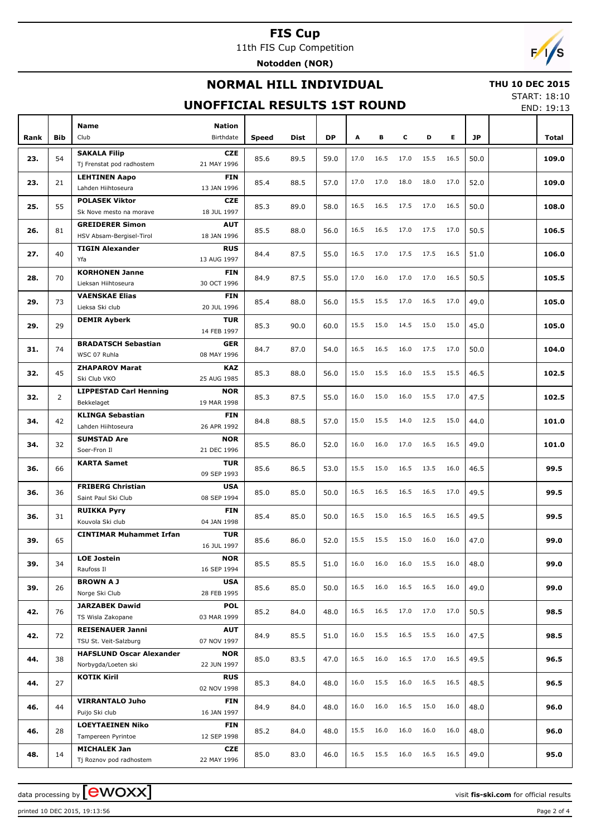11th FIS Cup Competition

**Notodden (NOR)**

## **NORMAL HILL INDIVIDUAL**



## **UNOFFICIAL RESULTS 1ST ROUND**

START: 18:10

|      | UNOFFICIAL RESULTS 1ST ROUND |                                               |                           |       |      |           |      |      |      |      |      |           |  | END: 19:13 |
|------|------------------------------|-----------------------------------------------|---------------------------|-------|------|-----------|------|------|------|------|------|-----------|--|------------|
|      |                              | Name                                          | <b>Nation</b>             |       |      |           |      |      |      |      |      |           |  |            |
| Rank | <b>Bib</b>                   | Club                                          | Birthdate                 | Speed | Dist | <b>DP</b> | A    | В    | c    | D    | Е    | <b>JP</b> |  | Total      |
|      |                              | <b>SAKALA Filip</b>                           | <b>CZE</b>                |       |      |           |      |      |      |      |      |           |  |            |
| 23.  | 54                           | Tj Frenstat pod radhostem                     | 21 MAY 1996               | 85.6  | 89.5 | 59.0      | 17.0 | 16.5 | 17.0 | 15.5 | 16.5 | 50.0      |  | 109.0      |
|      |                              | <b>LEHTINEN Aapo</b>                          | <b>FIN</b>                |       |      |           |      |      |      |      |      |           |  |            |
| 23.  | 21                           | Lahden Hiihtoseura                            | 13 JAN 1996               | 85.4  | 88.5 | 57.0      | 17.0 | 17.0 | 18.0 | 18.0 | 17.0 | 52.0      |  | 109.0      |
|      |                              | <b>POLASEK Viktor</b>                         | <b>CZE</b>                |       |      |           |      |      |      |      |      |           |  |            |
| 25.  | 55                           | Sk Nove mesto na morave                       | 18 JUL 1997               | 85.3  | 89.0 | 58.0      | 16.5 | 16.5 | 17.5 | 17.0 | 16.5 | 50.0      |  | 108.0      |
|      |                              | <b>GREIDERER Simon</b>                        | <b>AUT</b>                |       |      |           |      |      |      |      |      |           |  |            |
| 26.  | 81                           | HSV Absam-Bergisel-Tirol                      | 18 JAN 1996               | 85.5  | 88.0 | 56.0      | 16.5 | 16.5 | 17.0 | 17.5 | 17.0 | 50.5      |  | 106.5      |
|      |                              | <b>TIGIN Alexander</b>                        | <b>RUS</b>                |       |      |           |      |      |      |      |      |           |  |            |
| 27.  | 40                           | Yfa                                           | 13 AUG 1997               | 84.4  | 87.5 | 55.0      | 16.5 | 17.0 | 17.5 | 17.5 | 16.5 | 51.0      |  | 106.0      |
| 28.  | 70                           | <b>KORHONEN Janne</b>                         | <b>FIN</b>                | 84.9  | 87.5 | 55.0      | 17.0 | 16.0 | 17.0 | 17.0 | 16.5 | 50.5      |  | 105.5      |
|      |                              | Lieksan Hiihtoseura                           | 30 OCT 1996               |       |      |           |      |      |      |      |      |           |  |            |
| 29.  | 73                           | <b>VAENSKAE Elias</b>                         | <b>FIN</b>                | 85.4  | 88.0 | 56.0      | 15.5 | 15.5 | 17.0 | 16.5 | 17.0 | 49.0      |  | 105.0      |
|      |                              | Lieksa Ski club                               | 20 JUL 1996               |       |      |           |      |      |      |      |      |           |  |            |
| 29.  | 29                           | <b>DEMIR Ayberk</b>                           | <b>TUR</b>                | 85.3  | 90.0 | 60.0      | 15.5 | 15.0 | 14.5 | 15.0 | 15.0 | 45.0      |  | 105.0      |
|      |                              |                                               | 14 FEB 1997               |       |      |           |      |      |      |      |      |           |  |            |
| 31.  | 74                           | <b>BRADATSCH Sebastian</b>                    | <b>GER</b>                | 84.7  | 87.0 | 54.0      | 16.5 | 16.5 | 16.0 | 17.5 | 17.0 | 50.0      |  | 104.0      |
|      |                              | WSC 07 Ruhla                                  | 08 MAY 1996               |       |      |           |      |      |      |      |      |           |  |            |
| 32.  | 45                           | <b>ZHAPAROV Marat</b>                         | <b>KAZ</b>                | 85.3  | 88.0 | 56.0      | 15.0 | 15.5 | 16.0 | 15.5 | 15.5 | 46.5      |  | 102.5      |
|      |                              | Ski Club VKO                                  | 25 AUG 1985               |       |      |           |      |      |      |      |      |           |  |            |
| 32.  | $\overline{2}$               | <b>LIPPESTAD Carl Henning</b>                 | <b>NOR</b>                | 85.3  | 87.5 | 55.0      | 16.0 | 15.0 | 16.0 | 15.5 | 17.0 | 47.5      |  | 102.5      |
|      |                              | Bekkelaget                                    | 19 MAR 1998               |       |      |           |      |      |      |      |      |           |  |            |
| 34.  | 42                           | <b>KLINGA Sebastian</b><br>Lahden Hiihtoseura | <b>FIN</b><br>26 APR 1992 | 84.8  | 88.5 | 57.0      | 15.0 | 15.5 | 14.0 | 12.5 | 15.0 | 44.0      |  | 101.0      |
|      |                              | <b>SUMSTAD Are</b>                            | <b>NOR</b>                |       |      |           |      |      |      |      |      |           |  |            |
| 34.  | 32                           | Soer-Fron Il                                  | 21 DEC 1996               | 85.5  | 86.0 | 52.0      | 16.0 | 16.0 | 17.0 | 16.5 | 16.5 | 49.0      |  | 101.0      |
|      |                              | <b>KARTA Samet</b>                            | <b>TUR</b>                |       |      |           |      |      |      |      |      |           |  |            |
| 36.  | 66                           |                                               | 09 SEP 1993               | 85.6  | 86.5 | 53.0      | 15.5 | 15.0 | 16.5 | 13.5 | 16.0 | 46.5      |  | 99.5       |
|      |                              | <b>FRIBERG Christian</b>                      | <b>USA</b>                |       |      |           |      |      |      |      |      |           |  |            |
| 36.  | 36                           | Saint Paul Ski Club                           | 08 SEP 1994               | 85.0  | 85.0 | 50.0      | 16.5 | 16.5 | 16.5 | 16.5 | 17.0 | 49.5      |  | 99.5       |
|      |                              | <b>RUIKKA Pyry</b>                            | <b>FIN</b>                |       |      |           | 16.5 | 15.0 | 16.5 | 16.5 | 16.5 |           |  |            |
| 36.  | 31                           | Kouvola Ski club                              | 04 JAN 1998               | 85.4  | 85.0 | 50.0      |      |      |      |      |      | 49.5      |  | 99.5       |
| 39.  | 65                           | <b>CINTIMAR Muhammet Irfan</b>                | <b>TUR</b>                | 85.6  | 86.0 | 52.0      | 15.5 | 15.5 | 15.0 | 16.0 | 16.0 | 47.0      |  | 99.0       |
|      |                              |                                               | 16 JUL 1997               |       |      |           |      |      |      |      |      |           |  |            |
| 39.  | 34                           | <b>LOE Jostein</b>                            | <b>NOR</b>                | 85.5  | 85.5 | 51.0      | 16.0 | 16.0 | 16.0 | 15.5 | 16.0 | 48.0      |  | 99.0       |
|      |                              | Raufoss II                                    | 16 SEP 1994               |       |      |           |      |      |      |      |      |           |  |            |
| 39.  | 26                           | <b>BROWN A J</b>                              | <b>USA</b>                | 85.6  | 85.0 | 50.0      | 16.5 | 16.0 | 16.5 | 16.5 | 16.0 | 49.0      |  | 99.0       |
|      |                              | Norge Ski Club                                | 28 FEB 1995               |       |      |           |      |      |      |      |      |           |  |            |
| 42.  | 76                           | <b>JARZABEK Dawid</b>                         | <b>POL</b>                | 85.2  | 84.0 | 48.0      | 16.5 | 16.5 | 17.0 | 17.0 | 17.0 | 50.5      |  | 98.5       |
|      |                              | TS Wisla Zakopane<br><b>REISENAUER Janni</b>  | 03 MAR 1999               |       |      |           |      |      |      |      |      |           |  |            |
| 42.  | 72                           | TSU St. Veit-Salzburg                         | <b>AUT</b><br>07 NOV 1997 | 84.9  | 85.5 | 51.0      | 16.0 | 15.5 | 16.5 | 15.5 | 16.0 | 47.5      |  | 98.5       |
|      |                              | <b>HAFSLUND Oscar Alexander</b>               | <b>NOR</b>                |       |      |           |      |      |      |      |      |           |  |            |
| 44.  | 38                           | Norbygda/Loeten ski                           | 22 JUN 1997               | 85.0  | 83.5 | 47.0      | 16.5 | 16.0 | 16.5 | 17.0 | 16.5 | 49.5      |  | 96.5       |
|      |                              | <b>KOTIK Kiril</b>                            | <b>RUS</b>                |       |      |           |      |      |      |      |      |           |  |            |
| 44.  | 27                           |                                               | 02 NOV 1998               | 85.3  | 84.0 | 48.0      | 16.0 | 15.5 | 16.0 | 16.5 | 16.5 | 48.5      |  | 96.5       |
|      |                              | <b>VIRRANTALO Juho</b>                        | FIN                       |       |      |           |      |      |      |      |      |           |  |            |
| 46.  | 44                           | Puijo Ski club                                | 16 JAN 1997               | 84.9  | 84.0 | 48.0      | 16.0 | 16.0 | 16.5 | 15.0 | 16.0 | 48.0      |  | 96.0       |
|      |                              | <b>LOEYTAEINEN Niko</b>                       | FIN                       |       |      |           |      |      | 16.0 | 16.0 |      |           |  |            |
| 46.  | 28                           | Tampereen Pyrintoe                            | 12 SEP 1998               | 85.2  | 84.0 | 48.0      | 15.5 | 16.0 |      |      | 16.0 | 48.0      |  | 96.0       |
| 48.  | 14                           | <b>MICHALEK Jan</b>                           | CZE                       | 85.0  | 83.0 | 46.0      | 16.5 | 15.5 | 16.0 | 16.5 | 16.5 | 49.0      |  | 95.0       |
|      |                              | Tj Roznov pod radhostem                       | 22 MAY 1996               |       |      |           |      |      |      |      |      |           |  |            |

data processing by **CWOXX** and the set of the set of the set of the set of the set of the set of the set of the set of the set of the set of the set of the set of the set of the set of the set of the set of the set of the

printed 10 DEC 2015, 19:13:56 Page 2 of 4



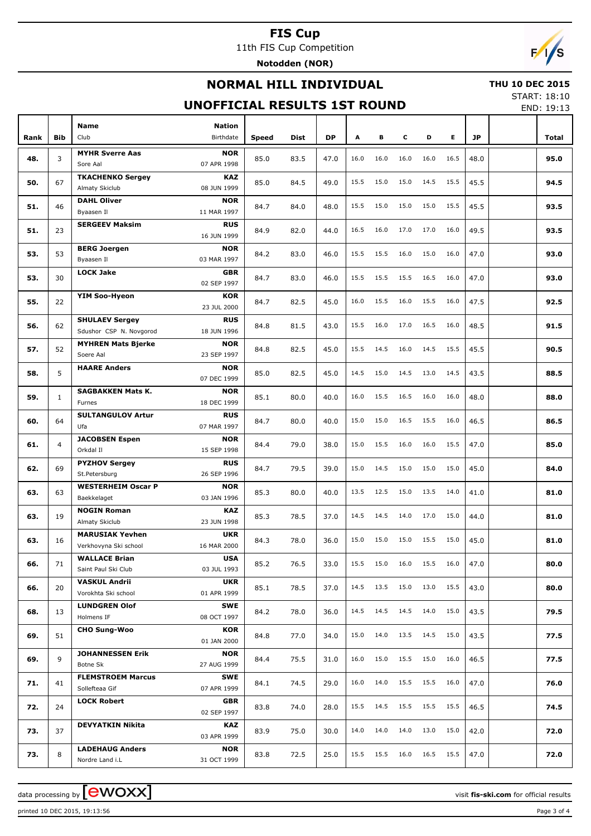11th FIS Cup Competition

**Notodden (NOR)**

## **NORMAL HILL INDIVIDUAL**

### **THU 10 DEC 2015**

## **UNOFFICIAL RESULTS 1ST ROUND**

START: 18:10 END: 19:13

 $F/1/s$ 

| Rank | <b>Bib</b>     | <b>Name</b><br>Club                                  | <b>Nation</b><br><b>Birthdate</b> |       | Dist | <b>DP</b> | A    | в    | c    | D    | E.   | <b>JP</b> | Total |
|------|----------------|------------------------------------------------------|-----------------------------------|-------|------|-----------|------|------|------|------|------|-----------|-------|
|      |                |                                                      |                                   | Speed |      |           |      |      |      |      |      |           |       |
| 48.  | 3              | <b>MYHR Sverre Aas</b><br>Sore Aal                   | <b>NOR</b><br>07 APR 1998         | 85.0  | 83.5 | 47.0      | 16.0 | 16.0 | 16.0 | 16.0 | 16.5 | 48.0      | 95.0  |
| 50.  | 67             | <b>TKACHENKO Sergey</b><br>Almaty Skiclub            | <b>KAZ</b><br>08 JUN 1999         | 85.0  | 84.5 | 49.0      | 15.5 | 15.0 | 15.0 | 14.5 | 15.5 | 45.5      | 94.5  |
| 51.  | 46             | <b>DAHL Oliver</b>                                   | <b>NOR</b>                        | 84.7  | 84.0 | 48.0      | 15.5 | 15.0 | 15.0 | 15.0 | 15.5 | 45.5      | 93.5  |
|      |                | Byaasen Il<br>11 MAR 1997<br><b>SERGEEV Maksim</b>   | <b>RUS</b>                        |       |      |           |      |      |      |      |      |           |       |
| 51.  | 23             | <b>BERG Joergen</b>                                  | 16 JUN 1999<br><b>NOR</b>         | 84.9  | 82.0 | 44.0      | 16.5 | 16.0 | 17.0 | 17.0 | 16.0 | 49.5      | 93.5  |
| 53.  | 53             | Byaasen Il<br>03 MAR 1997                            |                                   | 84.2  | 83.0 | 46.0      | 15.5 | 15.5 | 16.0 | 15.0 | 16.0 | 47.0      | 93.0  |
| 53.  | 30             | <b>LOCK Jake</b>                                     | <b>GBR</b><br>02 SEP 1997         | 84.7  | 83.0 | 46.0      | 15.5 | 15.5 | 15.5 | 16.5 | 16.0 | 47.0      | 93.0  |
| 55.  | 22             | <b>YIM Soo-Hyeon</b>                                 | <b>KOR</b><br>23 JUL 2000         | 84.7  | 82.5 | 45.0      | 16.0 | 15.5 | 16.0 | 15.5 | 16.0 | 47.5      | 92.5  |
| 56.  | 62             | <b>SHULAEV Sergey</b>                                | <b>RUS</b>                        | 84.8  | 81.5 | 43.0      | 15.5 | 16.0 | 17.0 | 16.5 | 16.0 | 48.5      | 91.5  |
|      |                | Sdushor CSP N. Novgorod<br><b>MYHREN Mats Bjerke</b> | 18 JUN 1996<br><b>NOR</b>         |       |      | 45.0      | 15.5 | 14.5 | 16.0 | 14.5 | 15.5 | 45.5      | 90.5  |
| 57.  | 52             | Soere Aal<br><b>HAARE Anders</b>                     | 23 SEP 1997<br><b>NOR</b>         | 84.8  | 82.5 |           |      |      |      |      |      |           |       |
| 58.  | 5              | 07 DEC 1999                                          |                                   | 85.0  | 82.5 | 45.0      | 14.5 | 15.0 | 14.5 | 13.0 | 14.5 | 43.5      | 88.5  |
| 59.  | $\mathbf{1}$   | <b>SAGBAKKEN Mats K.</b><br>18 DEC 1999<br>Furnes    | <b>NOR</b>                        | 85.1  | 80.0 | 40.0      | 16.0 | 15.5 | 16.5 | 16.0 | 16.0 | 48.0      | 88.0  |
| 60.  | 64             | <b>SULTANGULOV Artur</b><br>Ufa<br>07 MAR 1997       | <b>RUS</b>                        | 84.7  | 80.0 | 40.0      | 15.0 | 15.0 | 16.5 | 15.5 | 16.0 | 46.5      | 86.5  |
| 61.  | $\overline{4}$ | <b>JACOBSEN Espen</b><br>Orkdal II                   | <b>NOR</b><br>15 SEP 1998         | 84.4  | 79.0 | 38.0      | 15.0 | 15.5 | 16.0 | 16.0 | 15.5 | 47.0      | 85.0  |
| 62.  | 69             | <b>PYZHOV Sergey</b>                                 | <b>RUS</b><br>26 SEP 1996         | 84.7  | 79.5 | 39.0      | 15.0 | 14.5 | 15.0 | 15.0 | 15.0 | 45.0      | 84.0  |
| 63.  | 63             | St.Petersburg<br><b>WESTERHEIM Oscar P</b>           | <b>NOR</b>                        | 85.3  | 80.0 | 40.0      | 13.5 | 12.5 | 15.0 | 13.5 | 14.0 | 41.0      | 81.0  |
|      |                | Baekkelaget<br><b>NOGIN Roman</b>                    | 03 JAN 1996<br><b>KAZ</b>         |       |      |           |      |      |      |      |      |           |       |
| 63.  | 19             | Almaty Skiclub<br><b>MARUSIAK Yevhen</b>             | 23 JUN 1998<br><b>UKR</b>         | 85.3  | 78.5 | 37.0      | 14.5 | 14.5 | 14.0 | 17.0 | 15.0 | 44.0      | 81.0  |
| 63.  | 16             | 16 MAR 2000<br>Verkhovyna Ski school                 |                                   | 84.3  | 78.0 | 36.0      | 15.0 | 15.0 | 15.0 | 15.5 | 15.0 | 45.0      | 81.0  |
| 66.  | 71             | <b>WALLACE Brian</b><br>Saint Paul Ski Club          | <b>USA</b><br>03 JUL 1993         | 85.2  | 76.5 | 33.0      | 15.5 | 15.0 | 16.0 | 15.5 | 16.0 | 47.0      | 80.0  |
| 66.  | 20             | <b>VASKUL Andrii</b><br>Vorokhta Ski school          | <b>UKR</b><br>01 APR 1999         | 85.1  | 78.5 | 37.0      | 14.5 | 13.5 | 15.0 | 13.0 | 15.5 | 43.0      | 80.0  |
| 68.  | 13             | <b>LUNDGREN Olof</b><br>Holmens IF<br>08 OCT 1997    | <b>SWE</b>                        | 84.2  | 78.0 | 36.0      | 14.5 | 14.5 | 14.5 | 14.0 | 15.0 | 43.5      | 79.5  |
| 69.  | 51             | <b>CHO Sung-Woo</b>                                  | <b>KOR</b><br>01 JAN 2000         | 84.8  | 77.0 | 34.0      | 15.0 | 14.0 | 13.5 | 14.5 | 15.0 | 43.5      | 77.5  |
| 69.  | 9              | <b>JOHANNESSEN Erik</b><br>27 AUG 1999               | <b>NOR</b>                        | 84.4  | 75.5 | 31.0      | 16.0 | 15.0 | 15.5 | 15.0 | 16.0 | 46.5      | 77.5  |
| 71.  | 41             | Botne Sk<br><b>FLEMSTROEM Marcus</b>                 | <b>SWE</b>                        | 84.1  | 74.5 | 29.0      | 16.0 | 14.0 | 15.5 | 15.5 | 16.0 | 47.0      | 76.0  |
|      |                | Sollefteaa Gif<br><b>LOCK Robert</b>                 | 07 APR 1999<br><b>GBR</b>         |       |      |           | 15.5 | 14.5 | 15.5 | 15.5 | 15.5 |           |       |
| 72.  | 24             | <b>DEVYATKIN Nikita</b>                              | 02 SEP 1997<br>KAZ                | 83.8  | 74.0 | 28.0      |      |      |      |      |      | 46.5      | 74.5  |
| 73.  | 37             |                                                      | 03 APR 1999                       | 83.9  | 75.0 | 30.0      | 14.0 | 14.0 | 14.0 | 13.0 | 15.0 | 42.0      | 72.0  |
| 73.  | 8              | <b>LADEHAUG Anders</b><br>Nordre Land i.L            | <b>NOR</b><br>31 OCT 1999         | 83.8  | 72.5 | 25.0      | 15.5 | 15.5 | 16.0 | 16.5 | 15.5 | 47.0      | 72.0  |

printed 10 DEC 2015, 19:13:56 Page 3 of 4

data processing by **CWOXX** and  $\overline{C}$  and  $\overline{C}$  and  $\overline{C}$  and  $\overline{C}$  and  $\overline{C}$  and  $\overline{C}$  and  $\overline{C}$  and  $\overline{C}$  and  $\overline{C}$  and  $\overline{C}$  and  $\overline{C}$  and  $\overline{C}$  and  $\overline{C}$  and  $\overline{C}$  and  $\overline{C}$